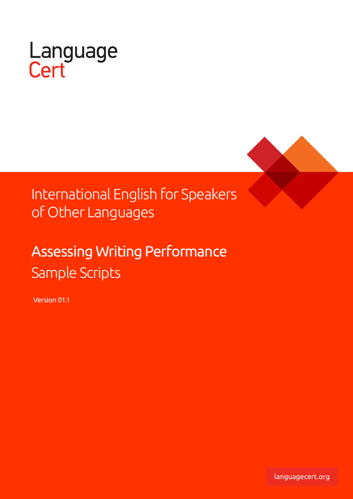



## International English for Speakers of Other Languages

# Assessing Writing Performance Sample Scripts

Version 01.1

languagecert.org languagecert.org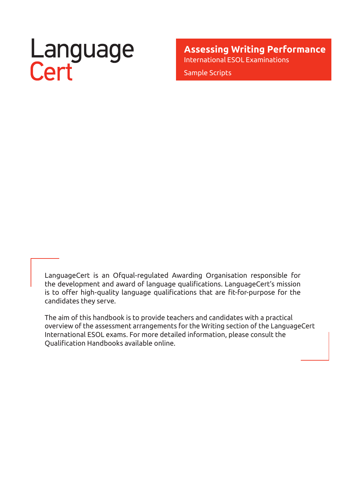# Language<br>Cert

**Assessing Writing Performance** International ESOL Examinations Sample Scripts

LanguageCert is an Ofqual-regulated Awarding Organisation responsible for the development and award of language qualifications. LanguageCert's mission is to offer high-quality language qualifications that are fit-for-purpose for the candidates they serve.

The aim of this handbook is to provide teachers and candidates with a practical overview of the assessment arrangements for the Writing section of the LanguageCert International ESOL exams. For more detailed information, please consult the Qualification Handbooks available online.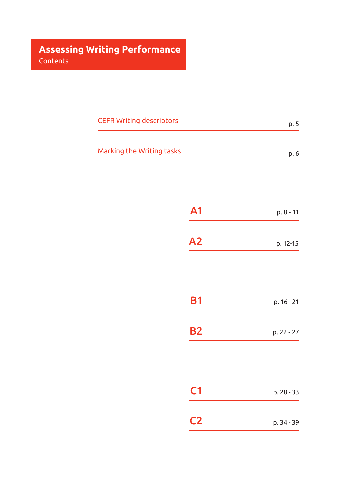| <b>CEFR Writing descriptors</b> | p. 5 |
|---------------------------------|------|
| Marking the Writing tasks       | p. 6 |
|                                 |      |

| A1             | p. 8 - 11  |
|----------------|------------|
| A2             | p. 12-15   |
|                |            |
| <b>B1</b>      | p. 16 - 21 |
| <b>B2</b>      | p. 22 - 27 |
|                |            |
|                |            |
| C <sub>1</sub> | p. 28 - 33 |
| C2             | p. 34 - 39 |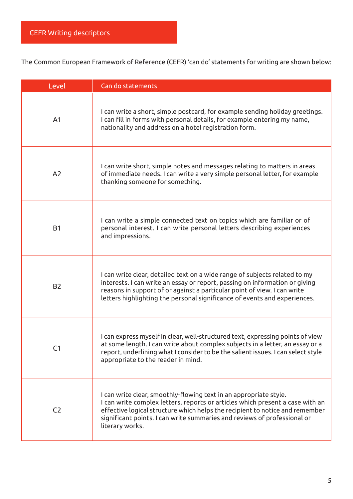The Common European Framework of Reference (CEFR) 'can do' statements for writing are shown below:

| Level          | Can do statements                                                                                                                                                                                                                                                                                                                 |
|----------------|-----------------------------------------------------------------------------------------------------------------------------------------------------------------------------------------------------------------------------------------------------------------------------------------------------------------------------------|
| A <sub>1</sub> | I can write a short, simple postcard, for example sending holiday greetings.<br>I can fill in forms with personal details, for example entering my name,<br>nationality and address on a hotel registration form.                                                                                                                 |
| A <sub>2</sub> | I can write short, simple notes and messages relating to matters in areas<br>of immediate needs. I can write a very simple personal letter, for example<br>thanking someone for something.                                                                                                                                        |
| <b>B1</b>      | I can write a simple connected text on topics which are familiar or of<br>personal interest. I can write personal letters describing experiences<br>and impressions.                                                                                                                                                              |
| <b>B2</b>      | I can write clear, detailed text on a wide range of subjects related to my<br>interests. I can write an essay or report, passing on information or giving<br>reasons in support of or against a particular point of view. I can write<br>letters highlighting the personal significance of events and experiences.                |
| C <sub>1</sub> | I can express myself in clear, well-structured text, expressing points of view<br>at some length. I can write about complex subjects in a letter, an essay or a<br>report, underlining what I consider to be the salient issues. I can select style<br>appropriate to the reader in mind.                                         |
| C <sub>2</sub> | I can write clear, smoothly-flowing text in an appropriate style.<br>I can write complex letters, reports or articles which present a case with an<br>effective logical structure which helps the recipient to notice and remember<br>significant points. I can write summaries and reviews of professional or<br>literary works. |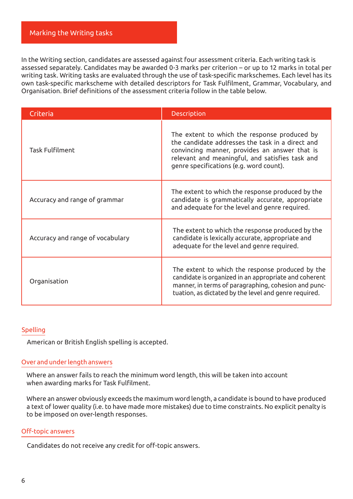#### Marking the Writing tasks

In the Writing section, candidates are assessed against four assessment criteria. Each writing task is assessed separately. Candidates may be awarded 0-3 marks per criterion – or up to 12 marks in total per writing task. Writing tasks are evaluated through the use of task-specific markschemes. Each level has its own task-specific markscheme with detailed descriptors for Task Fulfilment, Grammar, Vocabulary, and Organisation. Brief definitions of the assessment criteria follow in the table below.

| Criteria                         | <b>Description</b>                                                                                                                                                                                                                              |
|----------------------------------|-------------------------------------------------------------------------------------------------------------------------------------------------------------------------------------------------------------------------------------------------|
| <b>Task Fulfilment</b>           | The extent to which the response produced by<br>the candidate addresses the task in a direct and<br>convincing manner, provides an answer that is<br>relevant and meaningful, and satisfies task and<br>genre specifications (e.g. word count). |
| Accuracy and range of grammar    | The extent to which the response produced by the<br>candidate is grammatically accurate, appropriate<br>and adequate for the level and genre required.                                                                                          |
| Accuracy and range of vocabulary | The extent to which the response produced by the<br>candidate is lexically accurate, appropriate and<br>adequate for the level and genre required.                                                                                              |
| Organisation                     | The extent to which the response produced by the<br>candidate is organized in an appropriate and coherent<br>manner, in terms of paragraphing, cohesion and punc-<br>tuation, as dictated by the level and genre required.                      |

#### Spelling

American or British English spelling is accepted.

#### Over and under length answers

Where an answer fails to reach the minimum word length, this will be taken into account when awarding marks for Task Fulfilment.

Where an answer obviously exceeds the maximum word length, a candidate is bound to have produced a text of lower quality (i.e. to have made more mistakes) due to time constraints. No explicit penalty is to be imposed on over-length responses.

#### Off-topic answers

Candidates do not receive any credit for off-topic answers.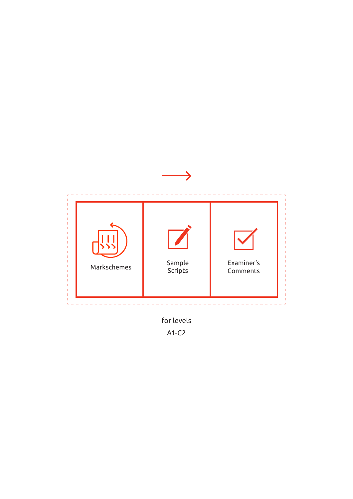

A1-C2 for levels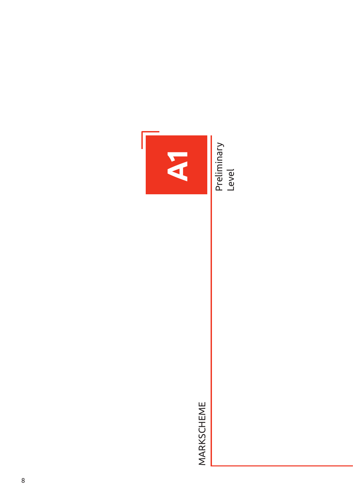

MARKSCHEME MARKSCHEME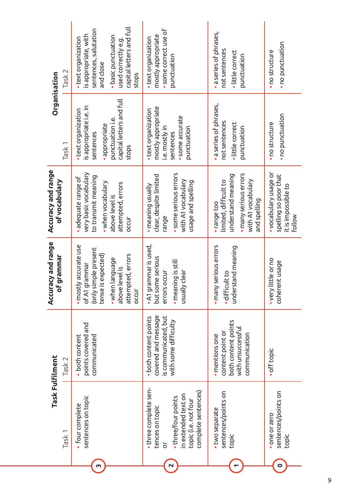|                                      | Task 2            | capital letters and full<br>sentences, salutation<br>is appropriate, with<br>· basic punctuation<br>· text organization<br>used correctly e.g.<br>and close<br>stops | · some correct use of<br>mostly appropriate<br>· text organization<br>punctuation                                                          | · a series of phrases,<br>not sentences<br>·little correct<br>punctuation                                                 | · no punctuation<br>· no structure                                                     |
|--------------------------------------|-------------------|----------------------------------------------------------------------------------------------------------------------------------------------------------------------|--------------------------------------------------------------------------------------------------------------------------------------------|---------------------------------------------------------------------------------------------------------------------------|----------------------------------------------------------------------------------------|
| Organisation                         | Task <sub>1</sub> | capital letters and full<br>is appropriate i.e. in<br>· text organization<br>punctuation i.e.<br>· appropriate<br>sentences<br>stops                                 | mostly appropriate<br>· text organization<br>· some accurate<br>i.e. mostly in<br>punctuation<br>sentences                                 | · a series of phrases,<br>not sentences<br>·little correct<br>punctuation                                                 | · no punctuation<br>· no structure                                                     |
| Accuracy and range<br>of vocabulary  |                   | very basic vocabulary<br>to transmit meaning<br>· adequate range of<br>• when vocabulary<br>attempted, errors<br>above level is<br>occur                             | · some serious errors<br>clear, despite limited<br>with A1 vocabulary<br>usage and spelling<br>· meaning usually<br>range                  | · many serious errors<br>understand meaning<br>with A1 vocabulary<br>limited, difficult to<br>and spelling<br>· range too | • vocabulary usage or<br>spelling so poor that<br>it is impossible to<br><b>Follow</b> |
| Accuracy and range<br>F grammar<br>ō |                   | · mostly accurate use<br>(only simple present<br>attempted, errors<br>tense is expected)<br>. when language<br>of A1 grammar<br>above level is<br>occur              | • A1 grammar is used,<br>but some serious<br>· meaning is still<br>usually clear<br>errors occur                                           | · many serious errors<br>understand meaning<br>· difficult to                                                             | • very little or no<br>coherent usage                                                  |
|                                      | Task 2            | points covered and<br>communicated<br>• both content                                                                                                                 | covered and message<br>is communicated, but<br>• both content points<br>with some difficulty                                               | both content points<br>with unsuccessful<br>content point or<br>communication<br>· mentions one                           | · off topic                                                                            |
| Task Fulfilment                      | Task <sub>1</sub> | sentences on topic<br>· four complete                                                                                                                                | • three complete sen-<br>complete sentences)<br>in extended text on<br>. three/four points<br>topic (i.e. not four<br>tences on topic<br>ă | sentences/points on<br>. two separate<br>topic                                                                            | sentences/points on<br>one or zero<br>topic                                            |
|                                      |                   | m                                                                                                                                                                    | $\overline{\mathbf{C}}$                                                                                                                    |                                                                                                                           | $\bullet$                                                                              |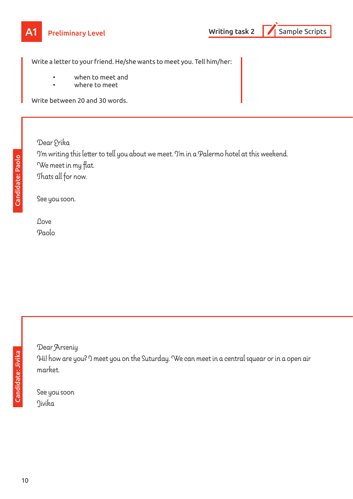

Write a letter to your friend. He/she wants to meet you. Tell him/her:

- when to meet and
- where to meet

Write between 20 and 30 words.

Candidate: Paolo Candidate: Paolo Dear Erika I'm writing this letter to tell you about we meet. I'm in a Palermo hotel at this weekend. We meet in my flat. Thats all for now.

See you soon.

Love Paolo

Dear Arseniy

Hi! how are you? I meet you on the Suturday. We can meet in a central squear or in a open air market.

See you soon Jivika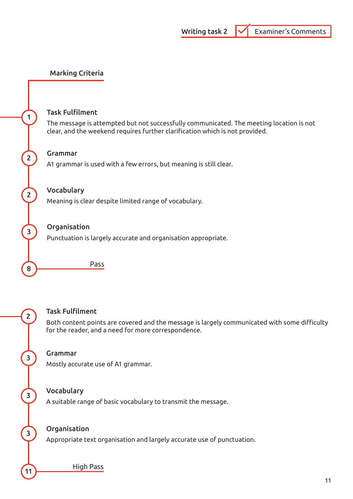#### Task Fulfilment

The message is attempted but not successfully communicated. The meeting location is not clear, and the weekend requires further clarification which is not provided.

#### 2 Grammar

A1 grammar is used with a few errors, but meaning is still clear.

#### 2 Vocabulary

Meaning is clear despite limited range of vocabulary.

#### <sup>3</sup> Organisation

Punctuation is largely accurate and organisation appropriate.

**8** Pass

## 2 Task Fulfilment

Both content points are covered and the message is largely communicated with some difficulty for the reader, and a need for more correspondence.

## <sup>3</sup> Grammar

Mostly accurate use of A1 grammar.

## 3 Vocabulary

A suitable range of basic vocabulary to transmit the message.

## <sup>3</sup> Organisation

Appropriate text organisation and largely accurate use of punctuation.

11 High Pass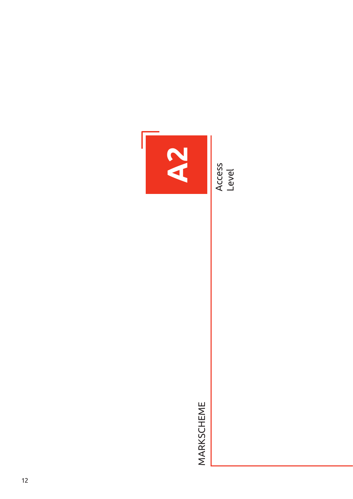

MARKSCHEME MARKSCHEME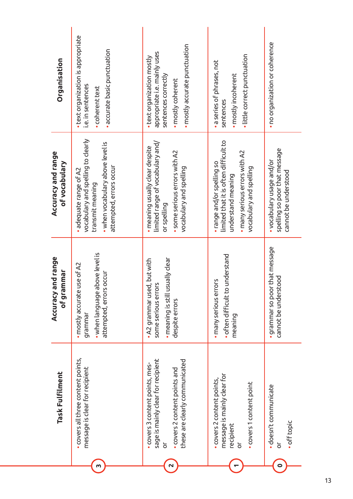| Organisation                         | · text organization is appropriate<br>· accurate basic punctuation<br>i.e. in sentences<br>· coherent text                                    | · mostly accurate punctuation<br>appropriate i.e. mainly uses<br>• text organization mostly<br>sentences correctly<br>· mostly coherent                       | · little correct punctuation<br>· a series of phrases, not<br>· mostly incoherent<br>sentences                                                        | · no organization or coherence                                                     |
|--------------------------------------|-----------------------------------------------------------------------------------------------------------------------------------------------|---------------------------------------------------------------------------------------------------------------------------------------------------------------|-------------------------------------------------------------------------------------------------------------------------------------------------------|------------------------------------------------------------------------------------|
| Accuracy and range<br>of vocabulary  | vocabulary and spelling to clearly<br>• when vocabulary above level is<br>attempted, errors occur<br>adequate range of A2<br>transmit meaning | limited range of vocabulary and/<br>· meaning usually clear despite<br>· some serious errors with A2<br>vocabulary and spelling<br>or spelling                | limited that it is often difficult to<br>· many serious errors with A2<br>• range and/or spelling so<br>vocabulary and spelling<br>understand meaning | spelling so poor that message<br>• vocabulary usage and/or<br>cannot be understood |
| Accuracy and range<br>ammar<br>of gr | • when language above level is<br>· mostly accurate use of A2<br>L2 OCCNL<br>attempted, erro<br>grammar                                       | usually clear<br>$\bullet$ A2 grammar used, but with<br>some serious errors<br>· meaning is still<br>despite errors                                           | · often difficult to understand<br>· many serious errors<br>meaning                                                                                   | · grammar so poor that message<br>cannot be understood                             |
| Task Fulfilment                      | covers all three content points,<br>message is clear for recipient                                                                            | sage is mainly clear for recipient<br>these are clearly communicated<br>. covers 3 content points, mes-<br>covers 2 content points and<br>$\overline{\sigma}$ | message is mainly clear for<br>covers 2 content points,<br>covers 1 content point<br>recipient<br>$\overline{\sigma}$                                 | · doesn't communicate<br>· off topic<br>δ                                          |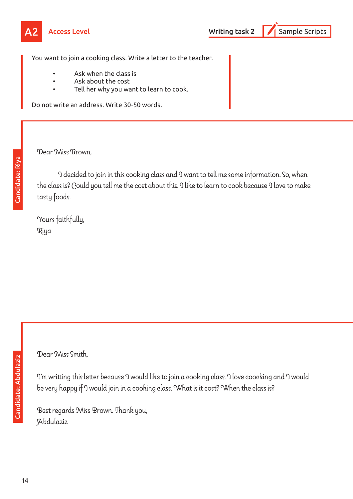



You want to join a cooking class. Write a letter to the teacher.

- Ask when the class is
- Ask about the cost
- Tell her why you want to learn to cook.

Do not write an address. Write 30-50 words.

Dear Miss Brown,

I decided to join in this cooking class and I want to tell me some information. So, when the class is? Could you tell me the cost about this. I like to learn to cook because I love to make tasty foods.

Yours faithfully, Riya

Dear Miss Smith,

I'm writting this letter because I would like to join a cooking class. I love coocking and I would be very happy if I would join in a cooking class. What is it cost? When the class is?

Best regards Miss Brown. Thank you, Abdulaziz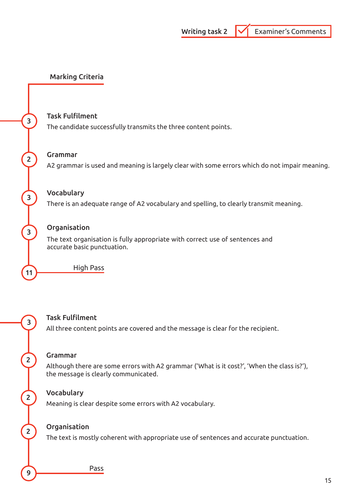## <sup>3</sup> Task Fulfilment

The candidate successfully transmits the three content points.

#### 2 Grammar

A2 grammar is used and meaning is largely clear with some errors which do not impair meaning.

## 3 Vocabulary

There is an adequate range of A2 vocabulary and spelling, to clearly transmit meaning.

#### 3<sup>3</sup>Organisation

The text organisation is fully appropriate with correct use of sentences and accurate basic punctuation.

11 High Pass

3 Task Fulfilment

All three content points are covered and the message is clear for the recipient.

## 2 Grammar

Although there are some errors with A2 grammar ('What is it cost?', 'When the class is?'), the message is clearly communicated.

## 2 Vocabulary

Meaning is clear despite some errors with A2 vocabulary.

## 2 Organisation

The text is mostly coherent with appropriate use of sentences and accurate punctuation.

Pass Pass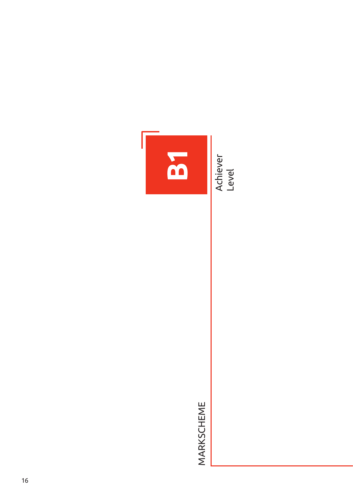

MARKSCHEME MARKSCHEME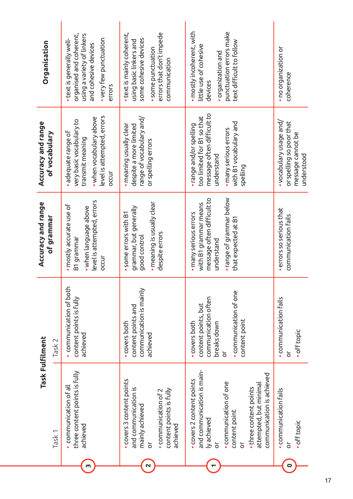| Organisation<br>Accuracy and range<br>of vocabulary | organised and coherent,<br>using a variety of linkers<br>• very few punctuation<br>• text is generally well-<br>and cohesive devices<br>errors<br>level is attempted, errors<br>• when vocabulary above<br>very basic vocabulary to<br>adequate range of<br>transmit meaning<br>bccur | errors that don't impede<br>• text is mainly coherent,<br>some cohesive devices<br>using basic linkers and<br>· some punctuation<br>communication<br>range of vocabulary and/<br>· meaning usually clear<br>despite a more limited<br>or spelling errors | • mostly incoherent, with<br>punctuation errors make<br>text difficult to follow<br>little use of cohesive<br>· organization and<br>devices<br>message often difficult to<br>too limited for B1 so that<br>with B1 vocabulary and<br>· range and/or spelling<br>· many serious errors<br>understand<br>spelling | • no organization or<br>coherence<br>• vocabulary usage and/<br>or spelling so poor that<br>message cannot be |
|-----------------------------------------------------|---------------------------------------------------------------------------------------------------------------------------------------------------------------------------------------------------------------------------------------------------------------------------------------|----------------------------------------------------------------------------------------------------------------------------------------------------------------------------------------------------------------------------------------------------------|-----------------------------------------------------------------------------------------------------------------------------------------------------------------------------------------------------------------------------------------------------------------------------------------------------------------|---------------------------------------------------------------------------------------------------------------|
| Accuracy and range<br>of grammar                    | level is attempted, errors<br>· mostly accurate use of<br>• when language above<br>B1 grammar<br>occur                                                                                                                                                                                | · meaning is usually clear<br>grammar, but generally<br>some errors with B1<br>despite errors<br>good control                                                                                                                                            | . range of grammar below<br>message often difficult to<br>with B1 grammar means<br>· many serious errors<br>that expected at B1<br>understand                                                                                                                                                                   | errors so serious that<br>communication fails                                                                 |
| Task Fulfilment<br>Task 2                           | · communication of both<br>content points is fully<br>achieved                                                                                                                                                                                                                        | communication is mainly<br>content points and<br>· covers both<br>achieved                                                                                                                                                                               | . communication of one<br>communication often<br>content points, but<br>content point<br>breaks down<br>• covers both<br>ŏ                                                                                                                                                                                      | • communication fails<br>· off topic<br>ŏ                                                                     |
| Task <sub>1</sub>                                   | three content points is fully<br>· communication of all<br>achieved                                                                                                                                                                                                                   | covers 3 content points<br>and communication is<br>content points is fully<br>· communication of 2<br>mainly achieved<br>achieved<br>$\overline{\sigma}$                                                                                                 | and communication is main-<br>communication is achieved<br>covers 2 content points<br>. communication of one<br>attempted, but minimal<br>• three content points<br>content point<br>ly achieved<br>ŏ<br>ŏ                                                                                                      | • communication fails<br>· off topic<br>ō                                                                     |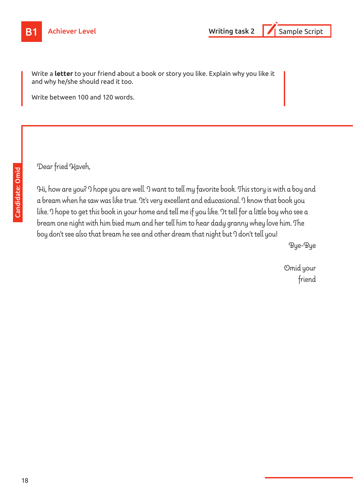

Write a **letter** to your friend about a book or story you like. Explain why you like it and why he/she should read it too.

Write between 100 and 120 words.

Dear fried Kaveh,

Hi, how are you? I hope you are well. I want to tell my favorite book. This story is with a boy and a bream when he saw was like true. It's very excellent and educasional. I know that book you like. I hope to get this book in your home and tell me if you like. It tell for a little boy who see a bream one night with him bied mum and her tell him to hear dady granny whey love him. The boy don't see also that bream he see and other dream that night but I don't tell you!

Bye-Bye

Omid your friend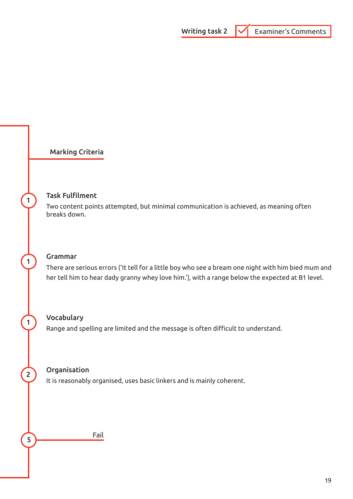#### **Task Fulfilment**

Two content points attempted, but minimal communication is achieved, as meaning often breaks down.

## 1 Grammar

There are serious errors ('It tell for a little boy who see a bream one night with him bied mum and her tell him to hear dady granny whey love him.'), with a range below the expected at B1 level.

#### 1 Vocabulary

Range and spelling are limited and the message is often difficult to understand.

## 2 Organisation

It is reasonably organised, uses basic linkers and is mainly coherent.

5 Fail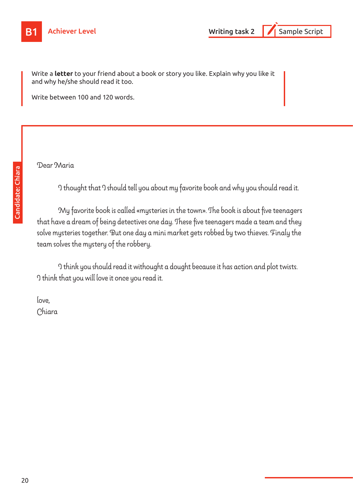Write a **letter** to your friend about a book or story you like. Explain why you like it and why he/she should read it too.

Write between 100 and 120 words.

Dear Maria

I thought that I should tell you about my favorite book and why you should read it.

My favorite book is called «mysteries in the town». The book is about five teenagers that have a dream of being detectives one day. These five teenagers made a team and they solve mysteries together. But one day a mini market gets robbed by two thieves. Finaly the team solves the mystery of the robbery.

I think you should read it withought a dought because it has action and plot twists. I think that you will love it once you read it.

love, Chiara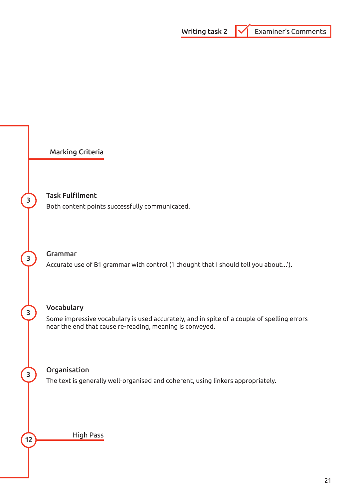

#### <sup>3</sup> Task Fulfilment

Both content points successfully communicated.

#### <sup>3</sup> Grammar

Accurate use of B1 grammar with control ('I thought that I should tell you about...').

## 3 Vocabulary

Some impressive vocabulary is used accurately, and in spite of a couple of spelling errors near the end that cause re-reading, meaning is conveyed.

#### <sup>3</sup> Organisation

The text is generally well-organised and coherent, using linkers appropriately.

High Pass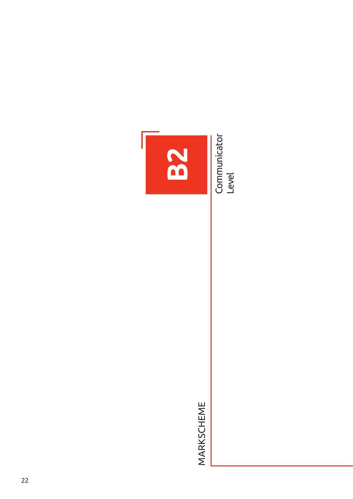**Communicator** Communicator<br>Level



MARKSCHEME MARKSCHEME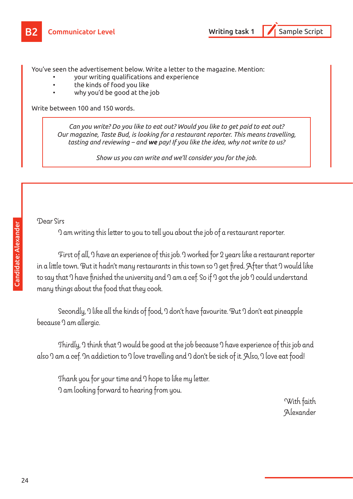You've seen the advertisement below. Write a letter to the magazine. Mention:

- your writing qualifications and experience
- the kinds of food you like
- why you'd be good at the job

Write between 100 and 150 words.

*Can you write? Do you like to eat out? Would you like to get paid to eat out? Our magazine, Taste Bud, is looking for a restaurant reporter. This means travelling, tasting and reviewing – and we pay! If you like the idea, why not write to us?* 

*Show us you can write and we'll consider you for the job.*

#### Dear Sirs

I am writing this letter to you to tell you about the job of a restaurant reporter.

First of all, I have an experience of this job. I worked for 2 years like a restaurant reporter in a little town. But it hadn't many restaurants in this town so I get fired. After that I would like to say that I have finished the university and I am a cef. So if I got the job I could understand many things about the food that they cook.

Secondly, I like all the kinds of food, I don't have favourite. But I don't eat pineapple because I am allergic.

Thirdly, I think that I would be good at the job because I have experience of this job and also I am a cef. In addiction to I love travelling and I don't be sick of it. Also, I love eat food!

Thank you for your time and I hope to like my letter. I am looking forward to hearing from you.

with faith that the second state of the second state of the second state  $\sim$ Alexander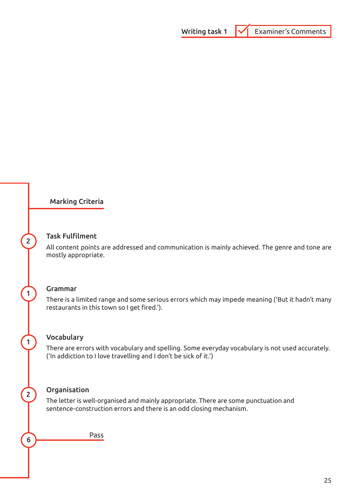

## **2** Task Fulfilment

All content points are addressed and communication is mainly achieved. The genre and tone are mostly appropriate.

#### 1 Grammar

There is a limited range and some serious errors which may impede meaning ('But it hadn't many restaurants in this town so I get fired.').

#### 1 Vocabulary

There are errors with vocabulary and spelling. Some everyday vocabulary is not used accurately. ('In addiction to I love travelling and I don't be sick of it.')

## 2 Organisation

The letter is well-organised and mainly appropriate. There are some punctuation and sentence-construction errors and there is an odd closing mechanism.

**6** Pass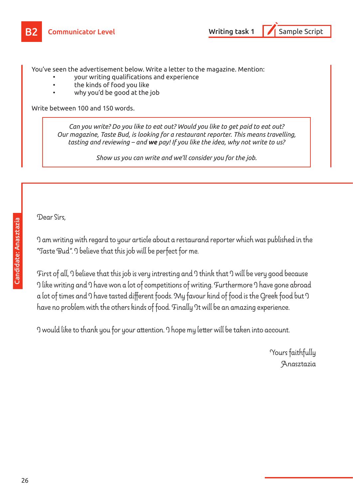You've seen the advertisement below. Write a letter to the magazine. Mention:

- your writing qualifications and experience
- the kinds of food you like
- why you'd be good at the job

Write between 100 and 150 words.

*Can you write? Do you like to eat out? Would you like to get paid to eat out? Our magazine, Taste Bud, is looking for a restaurant reporter. This means travelling, tasting and reviewing – and we pay! If you like the idea, why not write to us?* 

*Show us you can write and we'll consider you for the job.*

Dear Sirs,

I am writing with regard to your article about a restaurand reporter which was published in the "Taste Bud". I believe that this job will be perfect for me.

First of all, I believe that this job is very intresting and I think that I will be very good because 9 like writing and 9 have won a lot of competitions of writing. Furthermore 9 have gone abroad a lot of times and I have tasted different foods. My favour kind of food is the Greek food but I have no problem with the others kinds of food. Finally It will be an amazing experience.

I would like to thank you for your attention. I hope my letter will be taken into account.

Yours faithfully Anasztazia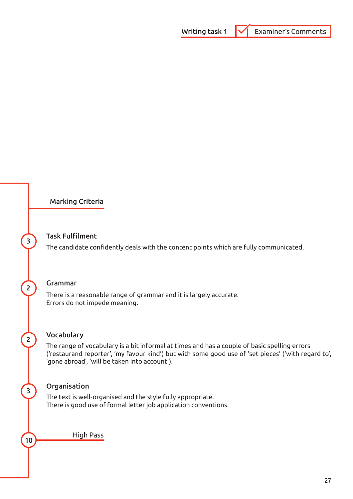#### 3 Task Fulfilment

The candidate confidently deals with the content points which are fully communicated.

## 2 Grammar

There is a reasonable range of grammar and it is largely accurate. Errors do not impede meaning.

## 2 Vocabulary

The range of vocabulary is a bit informal at times and has a couple of basic spelling errors ('restaurand reporter', 'my favour kind') but with some good use of 'set pieces' ('with regard to', 'gone abroad', 'will be taken into account').

## <sup>3</sup> Organisation

The text is well-organised and the style fully appropriate. There is good use of formal letter job application conventions.

High Pass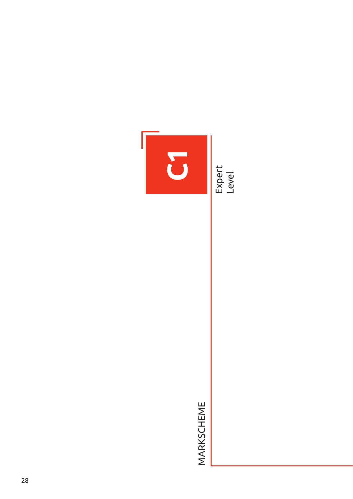

MARKSCHEME MARKSCHEME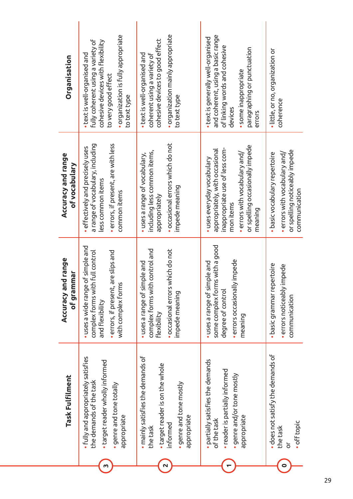| · occasional errors which do not<br>a range of vocabulary, including<br>· errors, if present, are with less<br>or spelling occasionally impede<br>· effectively and precisely uses<br>inappropriate use of less com-<br>appropriately, with occasional<br>including less common items,<br>$\bullet$ errors with vocabulary and/<br>$\bullet$ errors with vocabulary and/<br>· basic vocabulary repertoire<br>• uses a range of vocabulary,<br>Accuracy and range<br>• uses everyday vocabulary<br>of vocabulary<br>less common items<br>impede meaning<br>common items<br>appropriately<br>mon items<br>meaning<br>some complex forms with a good<br>· uses a wide range of simple and<br>· occasional errors which do not<br>complex forms with control and<br>errors, if present, are slips and<br>complex forms with full control<br>Accuracy and range<br>· errors occasionally impede<br>· uses a range of simple and<br>uses a range of simple and<br>• basic grammar repertoire<br>· errors noticeably impede<br>of grammar<br>with complex forms<br>degree of control<br>impede meaning<br>communication<br>and flexibility<br>Flexibility<br>meaning<br>Task Fulfilment | Organisation | . organization is fully appropriate<br>fully coherent using a variety of<br>cohesive devices with flexibility<br>$\bullet$ text is well-organised and<br>to very good effect<br>to text type | . organization mainly appropriate<br>cohesive devices to good effect<br>• text is well-organised and<br>coherent using a variety of<br>to text type | and coherent, using a basic range<br>• text is generally well-organised<br>of linking words and cohesive<br>paragraphing or punctuation<br>· some inappropriate<br>devices<br>errors | • little, or no, organization or<br>coherence                     |
|----------------------------------------------------------------------------------------------------------------------------------------------------------------------------------------------------------------------------------------------------------------------------------------------------------------------------------------------------------------------------------------------------------------------------------------------------------------------------------------------------------------------------------------------------------------------------------------------------------------------------------------------------------------------------------------------------------------------------------------------------------------------------------------------------------------------------------------------------------------------------------------------------------------------------------------------------------------------------------------------------------------------------------------------------------------------------------------------------------------------------------------------------------------------------------|--------------|----------------------------------------------------------------------------------------------------------------------------------------------------------------------------------------------|-----------------------------------------------------------------------------------------------------------------------------------------------------|--------------------------------------------------------------------------------------------------------------------------------------------------------------------------------------|-------------------------------------------------------------------|
|                                                                                                                                                                                                                                                                                                                                                                                                                                                                                                                                                                                                                                                                                                                                                                                                                                                                                                                                                                                                                                                                                                                                                                                  |              |                                                                                                                                                                                              |                                                                                                                                                     |                                                                                                                                                                                      | or spelling noticeably impede<br>communication                    |
|                                                                                                                                                                                                                                                                                                                                                                                                                                                                                                                                                                                                                                                                                                                                                                                                                                                                                                                                                                                                                                                                                                                                                                                  |              |                                                                                                                                                                                              |                                                                                                                                                     |                                                                                                                                                                                      |                                                                   |
|                                                                                                                                                                                                                                                                                                                                                                                                                                                                                                                                                                                                                                                                                                                                                                                                                                                                                                                                                                                                                                                                                                                                                                                  |              | • fully and appropriately satisfies<br>· target reader wholly informed<br>the demands of the task<br>· genre and tone totally<br>appropriate                                                 | · mainly satisfies the demands of<br>· target reader is on the whole<br>· genre and tone mostly<br>appropriate<br>informed<br>the task              | · partially satisfies the demands<br>· reader is partially informed<br>· genre and/or tone mostly<br>appropriate<br>of the task                                                      | · does not satisfy the demands of<br>. off topic<br>the task<br>ŏ |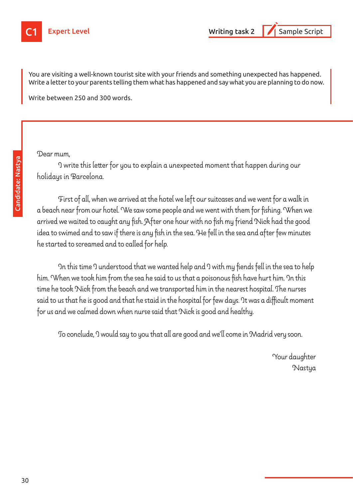

You are visiting a well-known tourist site with your friends and something unexpected has happened. Write a letter to your parents telling them what has happened and say what you are planning to do now.

Write between 250 and 300 words.

#### Dear mum,

I write this letter for you to explain a unexpected moment that happen during our holidays in Barcelona.

First of all, when we arrived at the hotel we left our suitcases and we went for a walk in a beach near from our hotel. We saw some people and we went with them for fishing. When we arrived we waited to caught any fish. After one hour with no fish my friend Nick had the good idea to swimed and to saw if there is any fish in the sea. He fell in the sea and after few minutes he started to screamed and to called for help.

In this time I understood that we wanted help and I with my fiends fell in the sea to help him. When we took him from the sea he said to us that a poisonous fish have hurt him. In this time he took Nick from the beach and we transported him in the nearest hospital. The nurses said to us that he is good and that he staid in the hospital for few days. It was a difficult moment for us and we calmed down when nurse said that Nick is good and healthy.

To conclude, I would say to you that all are good and we'll come in Madrid very soon.

Your daughter Nastya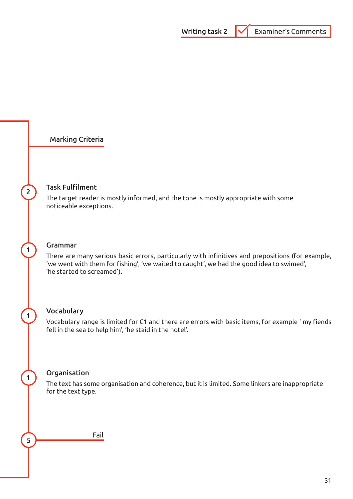

Fail

5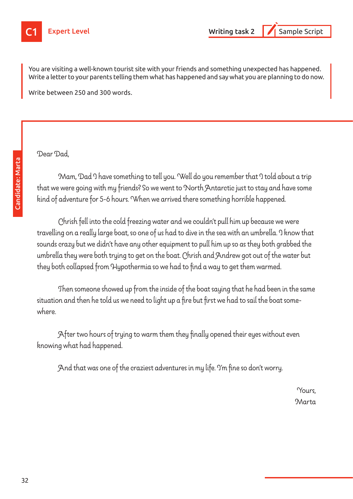

You are visiting a well-known tourist site with your friends and something unexpected has happened. Write a letter to your parents telling them what has happened and say what you are planning to do now.

Write between 250 and 300 words.

Dear Dad,

Mam, Dad I have something to tell you. Well do you remember that I told about a trip that we were going with my friends? So we went to North Antarctic just to stay and have some kind of adventure for 5-6 hours. When we arrived there something horrible happened.

Chrish fell into the cold freezing water and we couldn't pull him up because we were travelling on a really large boat, so one of us had to dive in the sea with an umbrella. I know that sounds crazy but we didn't have any other equipment to pull him up so as they both grabbed the umbrella they were both trying to get on the boat. Chrish and Andrew got out of the water but they both collapsed from Hypothermia so we had to find a way to get them warmed.

Then someone showed up from the inside of the boat saying that he had been in the same situation and then he told us we need to light up a fire but first we had to sail the boat somewhere.

After two hours of trying to warm them they finally opened their eyes without even knowing what had happened.

And that was one of the craziest adventures in my life. I'm fine so don't worry.

Yours, **Marta**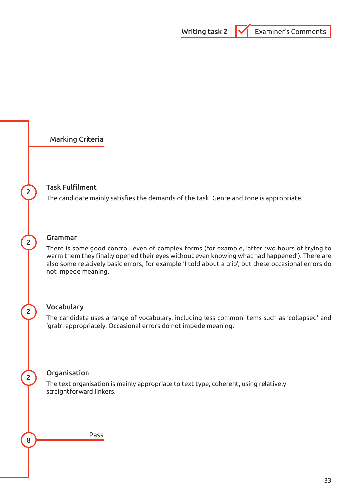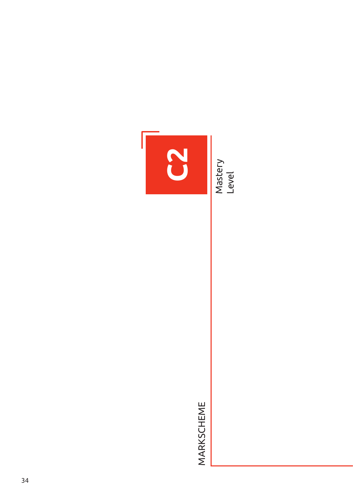

MARKSCHEME MARKSCHEME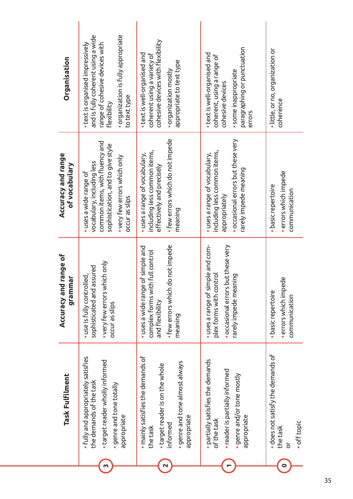| Task Fulfilment                                                                                                                               | range of<br>grammar<br>Accuracy and                                                                                                                 | Accuracy and range<br>of vocabulary                                                                                                                                           | Organisation                                                                                                                                                                   |
|-----------------------------------------------------------------------------------------------------------------------------------------------|-----------------------------------------------------------------------------------------------------------------------------------------------------|-------------------------------------------------------------------------------------------------------------------------------------------------------------------------------|--------------------------------------------------------------------------------------------------------------------------------------------------------------------------------|
| • fully and appropriately satisfies<br>· target reader wholly informed<br>the demands of the task<br>· genre and tone totally<br>appropriate  | • very few errors which only<br>sophisticated and assured<br>· use is fully controlled,<br>occur as slips                                           | common items, with fluency and<br>sophistication, and to give style<br>• very few errors which only<br>vocabulary, including less<br>· uses a wide range of<br>occur as slips | . organization is fully appropriate<br>and is fully coherent using a wide<br>· text is organised impressively<br>range of cohesive devices with<br>to text type<br>Flexibility |
| · mainly satisfies the demands of<br>• genre and tone almost always<br>• target reader is on the whole<br>appropriate<br>informed<br>the task | · few errors which do not impede<br>of simple and<br><b>Full control</b><br>complex forms with<br>· uses a wide range<br>and flexibility<br>meaning | • few errors which do not impede<br>including less common items,<br>• uses a range of vocabulary,<br>effectively and precisely<br>meaning                                     | cohesive devices with flexibility<br>• text is well-organised and<br>coherent using a variety of<br>appropriate to text type<br>· organization mostly                          |
| · partially satisfies the demands<br>• reader is partially informed<br>· genre and/or tone mostly<br>appropriate<br>of the task               | uses a range of simple and com-<br>· occasional errors but these very<br>plex forms with control<br>rarely impede meaning                           | · occasional errors but these very<br>including less common items,<br>• uses a range of vocabulary,<br>rarely impede meaning<br>appropriately                                 | paragraphing or punctuation<br>· text is well-organised and<br>coherent, using a range of<br>· some inappropriate<br>cohesive devices<br>errors                                |
| · does not satisfy the demands of<br>· off topic<br>the task<br>$\overline{\sigma}$                                                           | · errors which impede<br>· basic repertoire<br>communication                                                                                        | · errors which impede<br>· basic repertoire<br>communication                                                                                                                  | • little, or no, organization or<br>coherence                                                                                                                                  |

35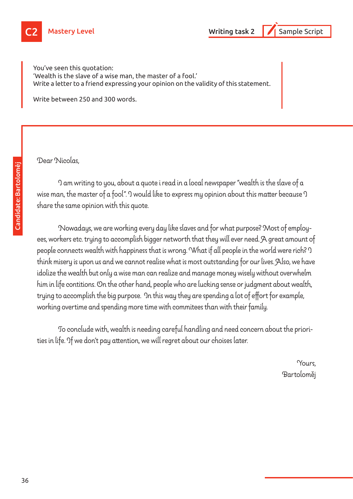

You've seen this quotation: 'Wealth is the slave of a wise man, the master of a fool.' Write a letter to a friend expressing your opinion on the validity of this statement.

Write between 250 and 300 words.

Dear Nicolas,

I am writing to you, about a quote i read in a local newspaper "wealth is the slave of a wise man, the master of a fool". I would like to express my opinion about this matter because I share the same opinion with this quote.

Nowadays, we are working every day like slaves and for what purpose? Most of employees, workers etc. trying to accomplish bigger networth that they will ever need. A great amount of people connects wealth with happiness that is wrong. What if all people in the world were rich? I think misery is upon us and we cannot realise what is most outstanding for our lives. Also, we have idolize the wealth but only a wise man can realize and manage money wisely without overwhelm him in life contitions. On the other hand, people who are lucking sense or judgment about wealth, trying to accomplish the big purpose. In this way they are spending a lot of effort for example, working overtime and spending more time with commitees than with their family.

To conclude with, wealth is needing careful handling and need concern about the priorities in life. If we don't pay attention, we will regret about our choises later.

> Yours, Bartoloměj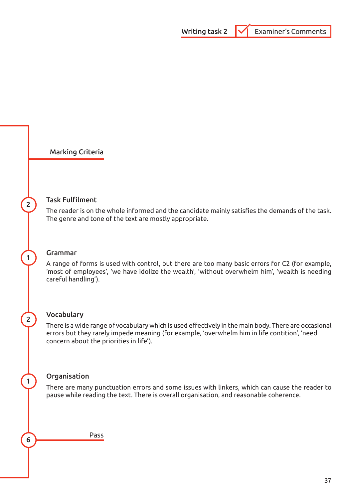## **2** Task Fulfilment

The reader is on the whole informed and the candidate mainly satisfies the demands of the task. The genre and tone of the text are mostly appropriate.

#### 1 Grammar

A range of forms is used with control, but there are too many basic errors for C2 (for example, 'most of employees', 'we have idolize the wealth', 'without overwhelm him', 'wealth is needing careful handling').

#### 2 Vocabulary

There is a wide range of vocabulary which is used effectively in the main body. There are occasional errors but they rarely impede meaning (for example, 'overwhelm him in life contition', 'need concern about the priorities in life').

#### 1 Organisation

There are many punctuation errors and some issues with linkers, which can cause the reader to pause while reading the text. There is overall organisation, and reasonable coherence.

**6** Pass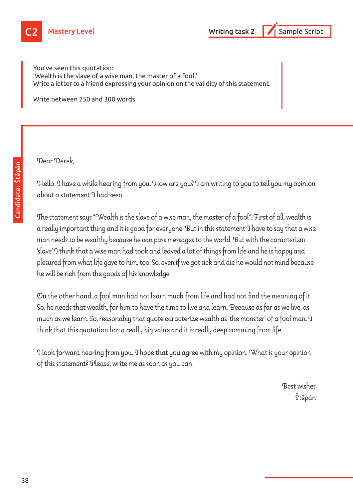

You've seen this quotation: 'Wealth is the slave of a wise man, the master of a fool.' Write a letter to a friend expressing your opinion on the validity of this statement.

Write between 250 and 300 words.

Dear Derek,

Hello. I have a while hearing from you. How are you? I am writing to you to tell you my opinion about a statement I had seen.

The statement says "Wealth is the slave of a wise man, the master of a fool". First of all, wealth is a really important thing and it is good for everyone. But in this statement I have to say that a wise man needs to be wealthy because he can pass messages to the world. But with the caracterizm 'slave' I think that a wise man had took and leaved a lot of things from life and he is happy and plesured from what life gave to him, too. So, even if we got sick and die he would not mind because he will be rich from the goods of his knowledge.

On the other hand, a fool man had not learn much from life and had not find the meaning of it. So, he needs that wealth, for him to have the time to live and learn. Because as far as we live, as much as we learn. So, reasonably that quote caracterize wealth as 'the monster' of a fool man. I think that this quotation has a really big value and it is really deep comming from life.

I look forward hearing from you. I hope that you agree with my opinion. What is your opinion of this statement? Please, write me as soon as you can.

> Best wishes Štěpán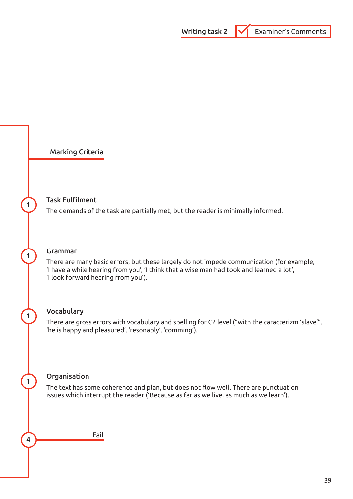#### Task Fulfilment

The demands of the task are partially met, but the reader is minimally informed.

#### 1 Grammar

There are many basic errors, but these largely do not impede communication (for example, 'I have a while hearing from you', 'I think that a wise man had took and learned a lot', 'I look forward hearing from you').

#### 1 Vocabulary

There are gross errors with vocabulary and spelling for C2 level ("with the caracterizm 'slave'", 'he is happy and pleasured', 'resonably', 'comming').

#### 1 Organisation

The text has some coherence and plan, but does not flow well. There are punctuation issues which interrupt the reader ('Because as far as we live, as much as we learn').

**4** Fail